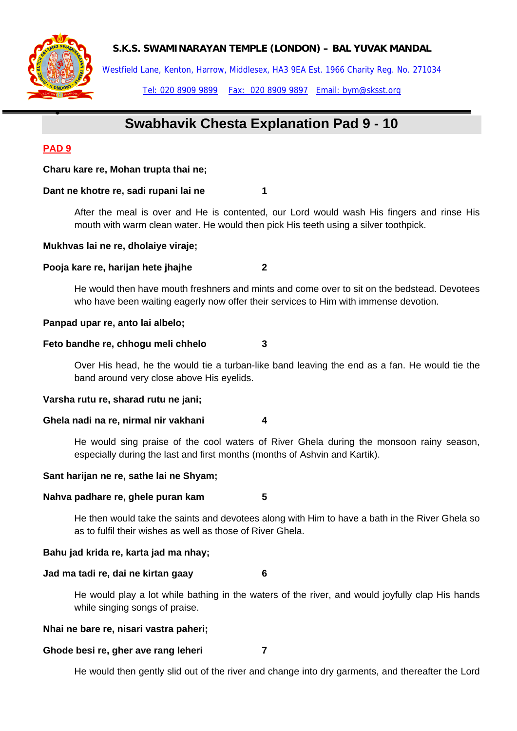**S.K.S. SWAMINARAYAN TEMPLE (LONDON) – BAL YUVAK MANDAL** 



Westfield Lane, Kenton, Harrow, Middlesex, HA3 9EA Est. 1966 Charity Reg. No. 271034

Tel: 020 8909 9899 Fax: 020 8909 9897 Email: bym@sksst.org

# **Swabhavik Chesta Explanation Pad 9 - 10**

# **PAD 9**

•

## **Charu kare re, Mohan trupta thai ne;**

## **Dant ne khotre re, sadi rupani lai ne 1**

After the meal is over and He is contented, our Lord would wash His fingers and rinse His mouth with warm clean water. He would then pick His teeth using a silver toothpick.

## **Mukhvas lai ne re, dholaiye viraje;**

# **Pooja kare re, harijan hete jhajhe 2**

He would then have mouth freshners and mints and come over to sit on the bedstead. Devotees who have been waiting eagerly now offer their services to Him with immense devotion.

## **Panpad upar re, anto lai albelo;**

## **Feto bandhe re, chhogu meli chhelo 3**

Over His head, he the would tie a turban-like band leaving the end as a fan. He would tie the band around very close above His eyelids.

## **Varsha rutu re, sharad rutu ne jani;**

## **Ghela nadi na re, nirmal nir vakhani 4**

He would sing praise of the cool waters of River Ghela during the monsoon rainy season, especially during the last and first months (months of Ashvin and Kartik).

## **Sant harijan ne re, sathe lai ne Shyam;**

## **Nahva padhare re, ghele puran kam 5**

He then would take the saints and devotees along with Him to have a bath in the River Ghela so as to fulfil their wishes as well as those of River Ghela.

## **Bahu jad krida re, karta jad ma nhay;**

# **Jad ma tadi re, dai ne kirtan gaay 6**

He would play a lot while bathing in the waters of the river, and would joyfully clap His hands while singing songs of praise.

## **Nhai ne bare re, nisari vastra paheri;**

## **Ghode besi re, gher ave rang leheri 7**

He would then gently slid out of the river and change into dry garments, and thereafter the Lord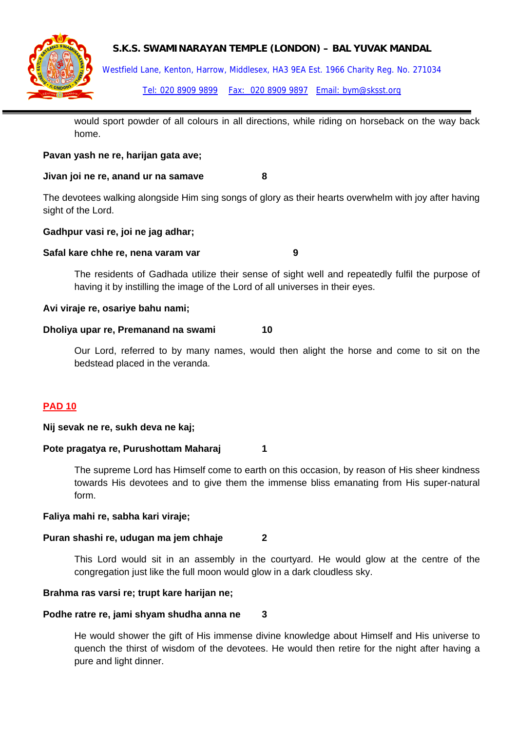



Westfield Lane, Kenton, Harrow, Middlesex, HA3 9EA Est. 1966 Charity Reg. No. 271034

Tel: 020 8909 9899 Fax: 020 8909 9897 Email: bym@sksst.org

would sport powder of all colours in all directions, while riding on horseback on the way back home.

## **Pavan yash ne re, harijan gata ave;**

## **Jivan joi ne re, anand ur na samave 8**

The devotees walking alongside Him sing songs of glory as their hearts overwhelm with joy after having sight of the Lord.

## **Gadhpur vasi re, joi ne jag adhar;**

## **Safal kare chhe re, nena varam var metalliste serves de la varam var de la varam var de la varam var de la varam var de la varam varam varam varam varam varam varam varam varam varam varam varam varam varam varam varam va**

The residents of Gadhada utilize their sense of sight well and repeatedly fulfil the purpose of having it by instilling the image of the Lord of all universes in their eyes.

## **Avi viraje re, osariye bahu nami;**

## **Dholiya upar re, Premanand na swami 10**

Our Lord, referred to by many names, would then alight the horse and come to sit on the bedstead placed in the veranda.

## **PAD 10**

## **Nij sevak ne re, sukh deva ne kaj;**

## Pote pragatya re, Purushottam Maharaj 1

The supreme Lord has Himself come to earth on this occasion, by reason of His sheer kindness towards His devotees and to give them the immense bliss emanating from His super-natural form.

## **Faliya mahi re, sabha kari viraje;**

## **Puran shashi re, udugan ma jem chhaje 2**

This Lord would sit in an assembly in the courtyard. He would glow at the centre of the congregation just like the full moon would glow in a dark cloudless sky.

## **Brahma ras varsi re; trupt kare harijan ne;**

## **Podhe ratre re, jami shyam shudha anna ne 3**

He would shower the gift of His immense divine knowledge about Himself and His universe to quench the thirst of wisdom of the devotees. He would then retire for the night after having a pure and light dinner.